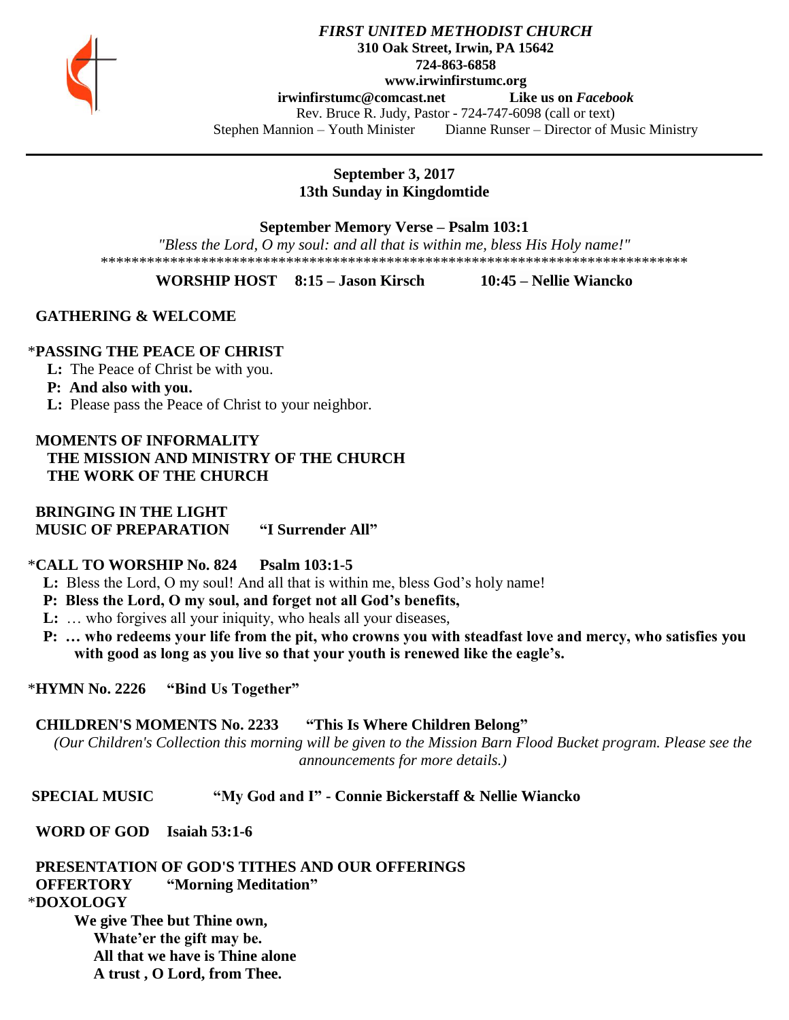

### *FIRST UNITED METHODIST CHURCH* **310 Oak Street, Irwin, PA 15642 724-863-6858 www.irwinfirstumc.org [irwinfirstumc@comcast.net](mailto:irwinfirstumc@comcast.net) Like us on** *Facebook* Rev. Bruce R. Judy, Pastor - 724-747-6098 (call or text) Stephen Mannion – Youth Minister Dianne Runser – Director of Music Ministry

**September 3, 2017 13th Sunday in Kingdomtide**

**September Memory Verse – Psalm 103:1**

*"Bless the Lord, O my soul: and all that is within me, bless His Holy name!"* \*\*\*\*\*\*\*\*\*\*\*\*\*\*\*\*\*\*\*\*\*\*\*\*\*\*\*\*\*\*\*\*\*\*\*\*\*\*\*\*\*\*\*\*\*\*\*\*\*\*\*\*\*\*\*\*\*\*\*\*\*\*\*\*\*\*\*\*\*\*\*\*\*\*\*\*

**WORSHIP HOST 8:15 – Jason Kirsch 10:45 – Nellie Wiancko**

 **GATHERING & WELCOME**

## \***PASSING THE PEACE OF CHRIST**

**L:** The Peace of Christ be with you.

**P: And also with you.**

**L:** Please pass the Peace of Christ to your neighbor.

 **MOMENTS OF INFORMALITY THE MISSION AND MINISTRY OF THE CHURCH THE WORK OF THE CHURCH**

 **BRINGING IN THE LIGHT MUSIC OF PREPARATION "I Surrender All"**

## \***CALL TO WORSHIP No. 824 Psalm 103:1-5**

- **L:** Bless the Lord, O my soul! And all that is within me, bless God's holy name!
- **P: Bless the Lord, O my soul, and forget not all God's benefits,**
- **L:** ... who forgives all your iniquity, who heals all your diseases,
- **P: … who redeems your life from the pit, who crowns you with steadfast love and mercy, who satisfies you with good as long as you live so that your youth is renewed like the eagle's.**

\***HYMN No. 2226 "Bind Us Together"**

## **CHILDREN'S MOMENTS No. 2233 "This Is Where Children Belong"**

*(Our Children's Collection this morning will be given to the Mission Barn Flood Bucket program. Please see the announcements for more details.)*

## **SPECIAL MUSIC "My God and I" - Connie Bickerstaff & Nellie Wiancko**

 **WORD OF GOD Isaiah 53:1-6**

 **PRESENTATION OF GOD'S TITHES AND OUR OFFERINGS OFFERTORY "Morning Meditation"** \***DOXOLOGY** 

**We give Thee but Thine own, Whate'er the gift may be. All that we have is Thine alone A trust , O Lord, from Thee.**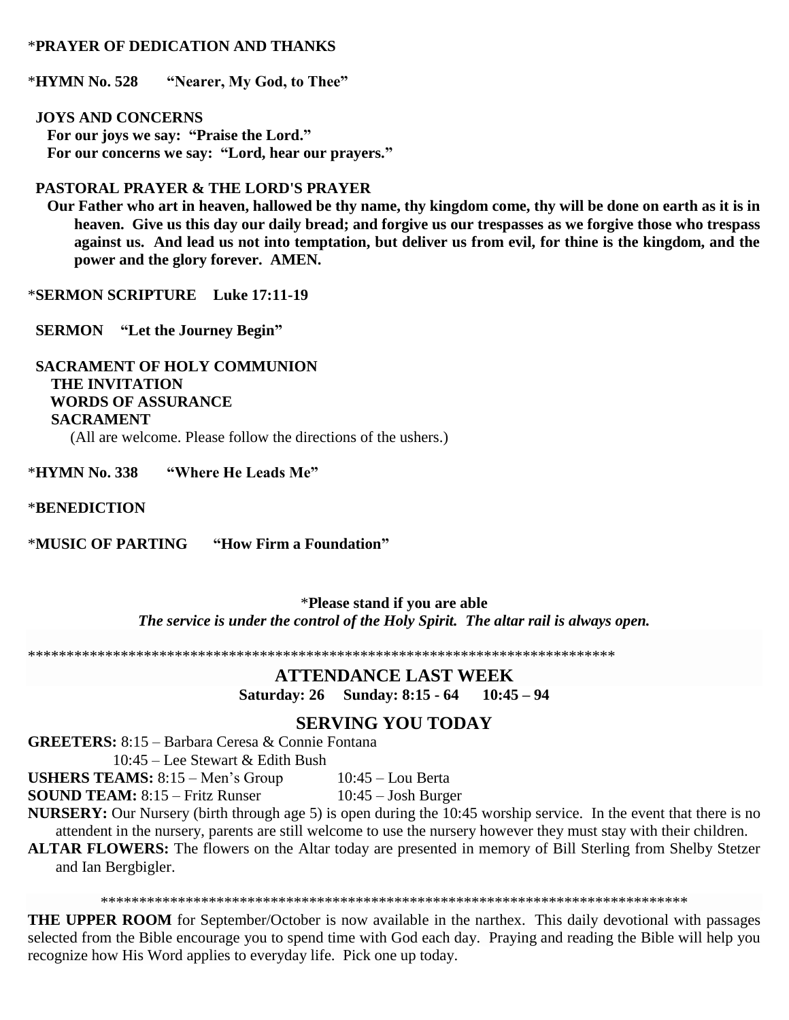## \***PRAYER OF DEDICATION AND THANKS**

\***HYMN No. 528 "Nearer, My God, to Thee"**

 **JOYS AND CONCERNS For our joys we say: "Praise the Lord." For our concerns we say: "Lord, hear our prayers."**

## **PASTORAL PRAYER & THE LORD'S PRAYER**

 **Our Father who art in heaven, hallowed be thy name, thy kingdom come, thy will be done on earth as it is in heaven. Give us this day our daily bread; and forgive us our trespasses as we forgive those who trespass against us. And lead us not into temptation, but deliver us from evil, for thine is the kingdom, and the power and the glory forever. AMEN.**

\***SERMON SCRIPTURE Luke 17:11-19**

 **SERMON "Let the Journey Begin"**

 **SACRAMENT OF HOLY COMMUNION THE INVITATION WORDS OF ASSURANCE SACRAMENT** (All are welcome. Please follow the directions of the ushers.)

\***HYMN No. 338 "Where He Leads Me"**

#### \***BENEDICTION**

\***MUSIC OF PARTING "How Firm a Foundation"**

\***Please stand if you are able** *The service is under the control of the Holy Spirit. The altar rail is always open.*

\*\*\*\*\*\*\*\*\*\*\*\*\*\*\*\*\*\*\*\*\*\*\*\*\*\*\*\*\*\*\*\*\*\*\*\*\*\*\*\*\*\*\*\*\*\*\*\*\*\*\*\*\*\*\*\*\*\*\*\*\*\*\*\*\*\*\*\*\*\*\*\*\*\*\*\*

## **ATTENDANCE LAST WEEK**

**Saturday: 26 Sunday: 8:15 - 64 10:45 – 94**

## **SERVING YOU TODAY**

**GREETERS:** 8:15 – Barbara Ceresa & Connie Fontana

10:45 – Lee Stewart & Edith Bush

**USHERS TEAMS:** 8:15 – Men's Group 10:45 – Lou Berta

**SOUND TEAM:** 8:15 – Fritz Runser 10:45 – Josh Burger

**NURSERY:** Our Nursery (birth through age 5) is open during the 10:45 worship service. In the event that there is no attendent in the nursery, parents are still welcome to use the nursery however they must stay with their children.

**ALTAR FLOWERS:** The flowers on the Altar today are presented in memory of Bill Sterling from Shelby Stetzer and Ian Bergbigler.

\*\*\*\*\*\*\*\*\*\*\*\*\*\*\*\*\*\*\*\*\*\*\*\*\*\*\*\*\*\*\*\*\*\*\*\*\*\*\*\*\*\*\*\*\*\*\*\*\*\*\*\*\*\*\*\*\*\*\*\*\*\*\*\*\*\*\*\*\*\*\*\*\*\*\*\*

**THE UPPER ROOM** for September/October is now available in the narthex. This daily devotional with passages selected from the Bible encourage you to spend time with God each day. Praying and reading the Bible will help you recognize how His Word applies to everyday life. Pick one up today.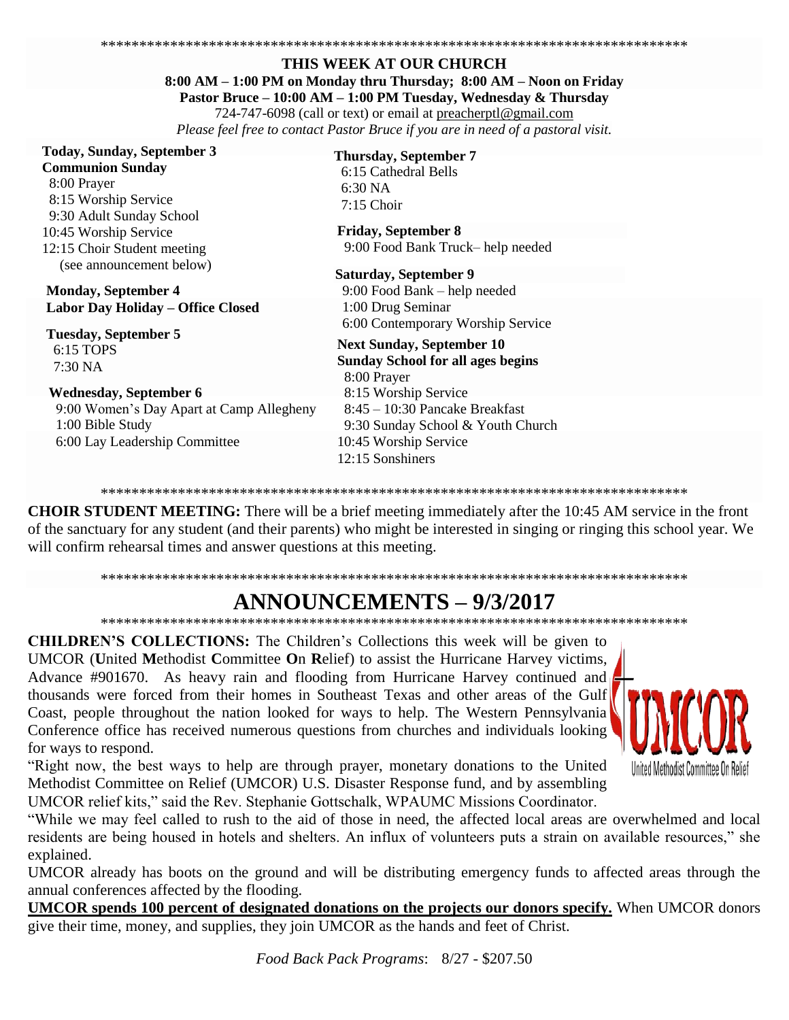#### THIS WEEK AT OUR CHURCH 8:00 AM - 1:00 PM on Monday thru Thursday; 8:00 AM - Noon on Friday Pastor Bruce - 10:00 AM - 1:00 PM Tuesday, Wednesday & Thursday 724-747-6098 (call or text) or email at preacherptl@gmail.com

Please feel free to contact Pastor Bruce if you are in need of a pastoral visit.

## **Today, Sunday, September 3**

**Communion Sunday** 8:00 Praver 8:15 Worship Service 9:30 Adult Sunday School 10:45 Worship Service 12:15 Choir Student meeting (see announcement below)

**Monday, September 4** Labor Day Holiday - Office Closed

**Tuesday, September 5** 6:15 TOPS 7:30 NA

#### **Wednesday, September 6**

9:00 Women's Day Apart at Camp Allegheny 1:00 Bible Study 6:00 Lay Leadership Committee

## **Thursday, September 7**

6:15 Cathedral Bells  $6:30\text{ NA}$  $7:15$  Choir

**Friday, September 8** 9:00 Food Bank Truck-help needed

**Saturday, September 9** 9:00 Food Bank – help needed 1:00 Drug Seminar 6:00 Contemporary Worship Service

#### **Next Sunday, September 10 Sunday School for all ages begins** 8:00 Prayer 8:15 Worship Service  $8:45 - 10:30$  Pancake Breakfast 9:30 Sunday School & Youth Church

10:45 Worship Service 12:15 Sonshiners

**CHOIR STUDENT MEETING:** There will be a brief meeting immediately after the 10:45 AM service in the front of the sanctuary for any student (and their parents) who might be interested in singing or ringing this school year. We will confirm rehearsal times and answer questions at this meeting.

## **ANNOUNCEMENTS – 9/3/2017**

**CHILDREN'S COLLECTIONS:** The Children's Collections this week will be given to UMCOR (United Methodist Committee On Relief) to assist the Hurricane Harvey victims, Advance #901670. As heavy rain and flooding from Hurricane Harvey continued and thousands were forced from their homes in Southeast Texas and other areas of the Gulf Coast, people throughout the nation looked for ways to help. The Western Pennsylvania Conference office has received numerous questions from churches and individuals looking for ways to respond.

I Inited Methodist Committee On Relie

"Right now, the best ways to help are through prayer, monetary donations to the United Methodist Committee on Relief (UMCOR) U.S. Disaster Response fund, and by assembling UMCOR relief kits," said the Rev. Stephanie Gottschalk, WPAUMC Missions Coordinator.

"While we may feel called to rush to the aid of those in need, the affected local areas are overwhelmed and local residents are being housed in hotels and shelters. An influx of volunteers puts a strain on available resources," she explained.

UMCOR already has boots on the ground and will be distributing emergency funds to affected areas through the annual conferences affected by the flooding.

UMCOR spends 100 percent of designated donations on the projects our donors specify. When UMCOR donors give their time, money, and supplies, they join UMCOR as the hands and feet of Christ.

Food Back Pack Programs: 8/27 - \$207.50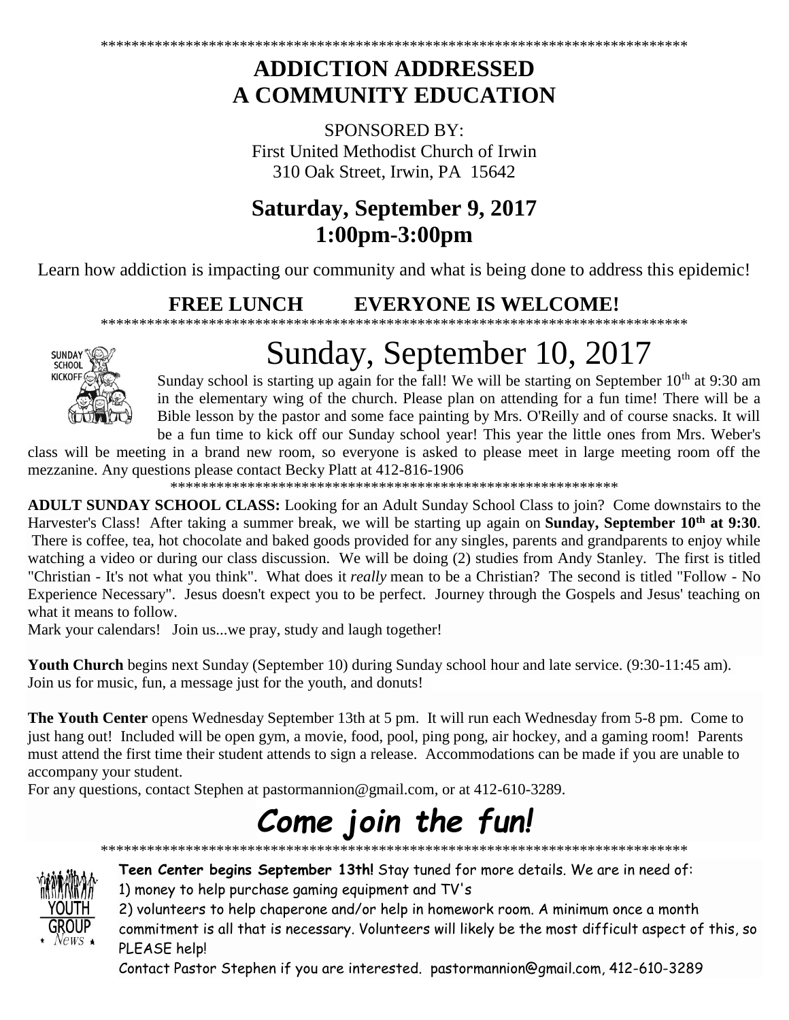## **ADDICTION ADDRESSED A COMMUNITY EDUCATION**

SPONSORED BY: First United Methodist Church of Irwin 310 Oak Street, Irwin, PA 15642

# **Saturday, September 9, 2017 1:00pm-3:00pm**

Learn how addiction is impacting our community and what is being done to address this epidemic!

### **FREE LUNCH EVERYONE IS WELCOME!** \*\*\*\*\*\*\*\*\*\*\*\*\*\*\*\*\*\*\*\*\*\*\*\*\*\*\*\*\*\*\*\*\*\*\*\*\*\*\*\*\*\*\*\*\*\*\*\*\*\*\*\*\*\*\*\*\*\*\*\*\*\*\*\*\*\*\*\*\*\*\*\*\*\*\*\*



# Sunday, September 10, 2017

Sunday school is starting up again for the fall! We will be starting on September  $10<sup>th</sup>$  at 9:30 am in the elementary wing of the church. Please plan on attending for a fun time! There will be a Bible lesson by the pastor and some face painting by Mrs. O'Reilly and of course snacks. It will be a fun time to kick off our Sunday school year! This year the little ones from Mrs. Weber's

class will be meeting in a brand new room, so everyone is asked to please meet in large meeting room off the mezzanine. Any questions please contact Becky Platt at 412-816-1906

\*\*\*\*\*\*\*\*\*\*\*\*\*\*\*\*\*\*\*\*\*\*\*\*\*\*\*\*\*\*\*\*\*\*\*\*\*\*\*\*\*\*\*\*\*\*\*\*\*\*\*\*\*\*\*\*\*\*

**ADULT SUNDAY SCHOOL CLASS:** Looking for an Adult Sunday School Class to join? Come downstairs to the Harvester's Class! After taking a summer break, we will be starting up again on **Sunday, September 10th at 9:30**. There is coffee, tea, hot chocolate and baked goods provided for any singles, parents and grandparents to enjoy while watching a video or during our class discussion. We will be doing (2) studies from Andy Stanley. The first is titled "Christian - It's not what you think". What does it *really* mean to be a Christian? The second is titled "Follow - No Experience Necessary". Jesus doesn't expect you to be perfect. Journey through the Gospels and Jesus' teaching on what it means to follow.

Mark your calendars! Join us...we pray, study and laugh together!

**Youth Church** begins next Sunday (September 10) during Sunday school hour and late service. (9:30-11:45 am). Join us for music, fun, a message just for the youth, and donuts!

**The Youth Center** opens Wednesday September 13th at 5 pm. It will run each Wednesday from 5-8 pm. Come to just hang out! Included will be open gym, a movie, food, pool, ping pong, air hockey, and a gaming room! Parents must attend the first time their student attends to sign a release. Accommodations can be made if you are unable to accompany your student.

For any questions, contact Stephen at [pastormannion@gmail.com,](javascript:window.top.ZmObjectManager.__doClickObject(document.getElementById(%22OBJ_PREFIX_DWT4424_com_zimbra_email%22));) or at 412-610-3289.

# *Come join the fun!*

\*\*\*\*\*\*\*\*\*\*\*\*\*\*\*\*\*\*\*\*\*\*\*\*\*\*\*\*\*\*\*\*\*\*\*\*\*\*\*\*\*\*\*\*\*\*\*\*\*\*\*\*\*\*\*\*\*\*\*\*\*\*\*\*\*\*\*\*\*\*\*\*\*\*\*\*



**Teen Center begins September 13th!** Stay tuned for more details. We are in need of: 1) money to help purchase gaming equipment and TV's

2) volunteers to help chaperone and/or help in homework room. A minimum once a month

commitment is all that is necessary. Volunteers will likely be the most difficult aspect of this, so PLEASE help!

Contact Pastor Stephen if you are interested. [pastormannion@gmail.com,](javascript:window.top.ZmObjectManager.__doClickObject(document.getElementById(%22OBJ_PREFIX_DWT1746_com_zimbra_email%22));) 412-610-3289